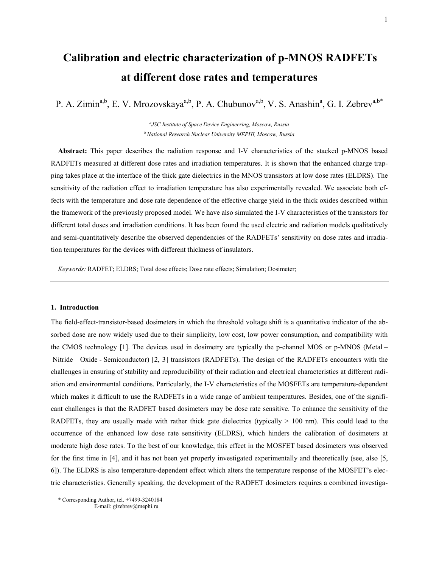# Calibration and electric characterization of p-MNOS RADFETs at different dose rates and temperatures

P. A. Zimin<sup>a,b</sup>, E. V. Mrozovskaya<sup>a,b</sup>, P. A. Chubunov<sup>a,b</sup>, V. S. Anashin<sup>a</sup>, G. I. Zebrev<sup>a,b\*</sup>

*a JSC Institute of Space Device Engineering, Moscow, Russia* <sup>*b*</sup> National Research Nuclear University MEPHI, Moscow, Russia

Abstract: This paper describes the radiation response and I-V characteristics of the stacked p-MNOS based RADFETs measured at different dose rates and irradiation temperatures. It is shown that the enhanced charge trapping takes place at the interface of the thick gate dielectrics in the MNOS transistors at low dose rates (ELDRS). The sensitivity of the radiation effect to irradiation temperature has also experimentally revealed. We associate both effects with the temperature and dose rate dependence of the effective charge yield in the thick oxides described within the framework of the previously proposed model. We have also simulated the I-V characteristics of the transistors for different total doses and irradiation conditions. It has been found the used electric and radiation models qualitatively and semi-quantitatively describe the observed dependencies of the RADFETs' sensitivity on dose rates and irradiation temperatures for the devices with different thickness of insulators.

*Keywords:* RADFET; ELDRS; Total dose effects; Dose rate effects; Simulation; Dosimeter;

#### 1. Introduction

The field-effect-transistor-based dosimeters in which the threshold voltage shift is a quantitative indicator of the absorbed dose are now widely used due to their simplicity, low cost, low power consumption, and compatibility with the CMOS technology [1]. The devices used in dosimetry are typically the p-channel MOS or p-MNOS (Metal – Nitride – Oxide - Semiconductor) [2, 3] transistors (RADFETs). The design of the RADFETs encounters with the challenges in ensuring of stability and reproducibility of their radiation and electrical characteristics at different radiation and environmental conditions. Particularly, the I-V characteristics of the MOSFETs are temperature-dependent which makes it difficult to use the RADFETs in a wide range of ambient temperatures. Besides, one of the significant challenges is that the RADFET based dosimeters may be dose rate sensitive. To enhance the sensitivity of the RADFETs, they are usually made with rather thick gate dielectrics (typically > 100 nm). This could lead to the occurrence of the enhanced low dose rate sensitivity (ELDRS), which hinders the calibration of dosimeters at moderate high dose rates. To the best of our knowledge, this effect in the MOSFET based dosimeters was observed for the first time in [4], and it has not been yet properly investigated experimentally and theoretically (see, also [5, 6]). The ELDRS is also temperature-dependent effect which alters the temperature response of the MOSFET's electric characteristics. Generally speaking, the development of the RADFET dosimeters requires a combined investiga-

\* Corresponding Author, tel. +7499-3240184 E-mail: gizebrev@mephi.ru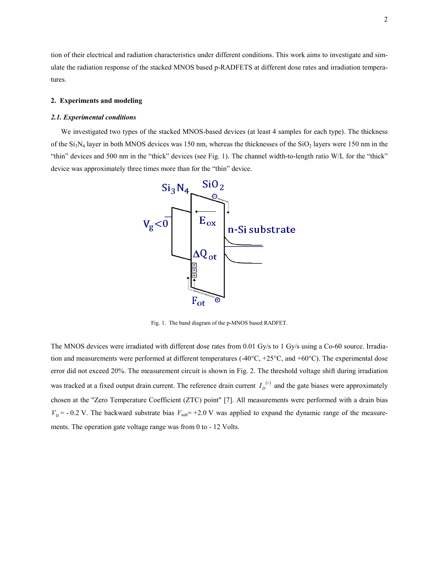tion of their electrical and radiation characteristics under different conditions. This work aims to investigate and simulate the radiation response of the stacked MNOS based p-RADFETS at different dose rates and irradiation temperatures.

## 2. Experiments and modeling

# *2.1. Experimental conditions*

We investigated two types of the stacked MNOS-based devices (at least 4 samples for each type). The thickness of the  $Si<sub>3</sub>N<sub>4</sub>$  layer in both MNOS devices was 150 nm, whereas the thicknesses of the  $SiO<sub>2</sub>$  layers were 150 nm in the "thin" devices and 500 nm in the "thick" devices (see Fig. 1). The channel width-to-length ratio W/L for the "thick" device was approximately three times more than for the "thin" device.



Fig. 1. The band diagram of the p-MNOS based RADFET.

The MNOS devices were irradiated with different dose rates from 0.01 Gy/s to 1 Gy/s using a Co-60 source. Irradiation and measurements were performed at different temperatures  $(-40^{\circ}C, +25^{\circ}C,$  and  $+60^{\circ}C)$ . The experimental dose error did not exceed 20%. The measurement circuit is shown in Fig. 2. The threshold voltage shift during irradiation was tracked at a fixed output drain current. The reference drain current  $I_D^{(r)}$  and the gate biases were approximately chosen at the "Zero Temperature Coefficient (ZTC) point" [7]. All measurements were performed with a drain bias  $V<sub>D</sub>$  = - 0.2 V. The backward substrate bias  $V<sub>sub</sub>$  = +2.0 V was applied to expand the dynamic range of the measurements. The operation gate voltage range was from 0 to - 12 Volts.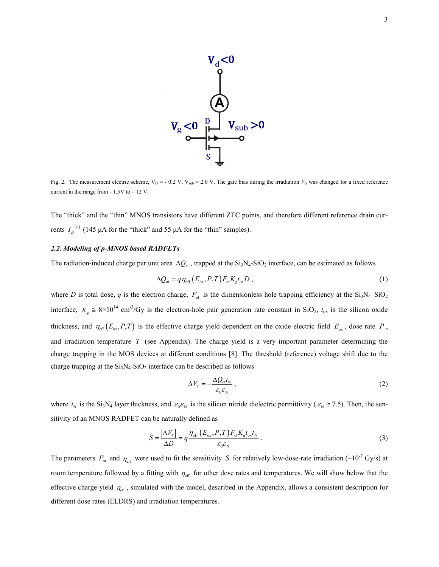

Fig. 2. The measurement electric scheme,  $V_D$  = - 0.2 V,  $V_{sub}$  = 2.0 V. The gate bias during the irradiation  $V_G$  was changed for a fixed reference current in the range from  $-1.5V$  to  $-12V$ .

The "thick" and the "thin" MNOS transistors have different ZTC points, and therefore different reference drain currents  $I_D^{(r)}$  (145 μA for the "thick" and 55 μA for the "thin" samples).

# *2.2. Modeling of p-MNOS based RADFETs*

The radiation-induced charge per unit area  $\Delta Q_{\text{ot}}$ , trapped at the Si<sub>3</sub>N<sub>4</sub>-SiO<sub>2</sub> interface, can be estimated as follows

$$
\Delta Q_{\rm ot} = q \eta_{\rm eff} \left( E_{\rm ox}, P, T \right) F_{\rm ot} K_{\rm g} t_{\rm ox} D \,, \tag{1}
$$

where *D* is total dose, *q* is the electron charge,  $F_{\text{ot}}$  is the dimensionless hole trapping efficiency at the Si<sub>3</sub>N<sub>4</sub>–SiO<sub>2</sub> interface,  $K_{\rm g} \approx 8 \times 10^{14} \text{ cm}^3/\text{Gy}$  is the electron-hole pair generation rate constant in SiO<sub>2</sub>,  $t_{\rm ox}$  is the silicon oxide thickness, and  $\eta_{\text{eff}}(E_{\text{ox}}, P, T)$  is the effective charge yield dependent on the oxide electric field  $E_{\text{ox}}$ , dose rate P, and irradiation temperature *T* (see Appendix). The charge yield is a very important parameter determining the charge trapping in the MOS devices at different conditions [8]. The threshold (reference) voltage shift due to the charge trapping at the  $Si<sub>3</sub>N<sub>4</sub>-SiO<sub>2</sub>$  interface can be described as follows

$$
\Delta V_{\rm T} = -\frac{\Delta Q_{\rm ot} t_{\rm N}}{\varepsilon_0 \varepsilon_{\rm N}}\,,\tag{2}
$$

where  $t_N$  is the Si<sub>3</sub>N<sub>4</sub> layer thickness, and  $\varepsilon_0 \varepsilon_N$  is the silicon nitride dielectric permittivity ( $\varepsilon_N \approx 7.5$ ). Then, the sensitivity of an MNOS RADFET can be naturally defined as

$$
S = \frac{|\Delta V_{\rm T}|}{\Delta D} = q \frac{\eta_{\rm eff} (E_{\rm ox}, P, T) F_{\rm ot} K_{\rm g} t_{\rm ox} t_{\rm N}}{\varepsilon_0 \varepsilon_{\rm N}}.
$$
\n(3)

The parameters  $F_{\text{ot}}$  and  $\eta_{\text{eff}}$  were used to fit the sensitivity *S* for relatively low-dose-rate irradiation (~10<sup>-2</sup> Gy/s) at room temperature followed by a fitting with  $\eta_{\text{eff}}$  for other dose rates and temperatures. We will show below that the effective charge yield  $\eta_{\text{eff}}$ , simulated with the model, described in the Appendix, allows a consistent description for different dose rates (ELDRS) and irradiation temperatures.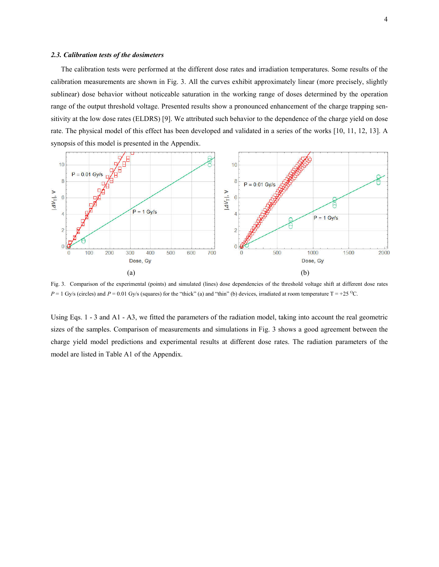#### *2.3. Calibration tests of the dosimeters*

The calibration tests were performed at the different dose rates and irradiation temperatures. Some results of the calibration measurements are shown in Fig. 3. All the curves exhibit approximately linear (more precisely, slightly sublinear) dose behavior without noticeable saturation in the working range of doses determined by the operation range of the output threshold voltage. Presented results show a pronounced enhancement of the charge trapping sensitivity at the low dose rates (ELDRS) [9]. We attributed such behavior to the dependence of the charge yield on dose rate. The physical model of this effect has been developed and validated in a series of the works [10, 11, 12, 13]. A synopsis of this model is presented in the Appendix.



Fig. 3. Comparison of the experimental (points) and simulated (lines) dose dependencies of the threshold voltage shift at different dose rates  $P = 1$  Gy/s (circles) and  $P = 0.01$  Gy/s (squares) for the "thick" (a) and "thin" (b) devices, irradiated at room temperature T = +25 <sup>o</sup>C.

Using Eqs. 1 - 3 and A1 - A3, we fitted the parameters of the radiation model, taking into account the real geometric sizes of the samples. Comparison of measurements and simulations in Fig. 3 shows a good agreement between the charge yield model predictions and experimental results at different dose rates. The radiation parameters of the model are listed in Table A1 of the Appendix.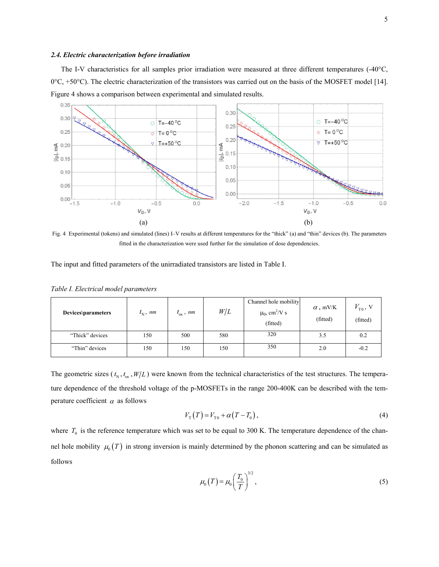#### *2.4. Electric characterization before irradiation*

The I-V characteristics for all samples prior irradiation were measured at three different temperatures  $(-40^{\circ}C,$  $0^{\circ}$ C, +50 $^{\circ}$ C). The electric characterization of the transistors was carried out on the basis of the MOSFET model [14]. Figure 4 shows a comparison between experimental and simulated results.



Fig. 4 Experimental (tokens) and simulated (lines) I–V results at different temperatures for the "thick" (a) and "thin" devices (b). The parameters fitted in the characterization were used further for the simulation of dose dependencies.

The input and fitted parameters of the unirradiated transistors are listed in Table I.

| Devices\parameters | $t_{\rm N}$ , nm | $t_{\rm ox}$ , nm | W/L | Channel hole mobility<br>$\mu_0$ , cm <sup>2</sup> /V s<br>(fitted) | $\alpha$ , mV/K<br>(fitted) | $V_{\text{T0}}$ , V<br>(fitted) |
|--------------------|------------------|-------------------|-----|---------------------------------------------------------------------|-----------------------------|---------------------------------|
| "Thick" devices    | 150              | 500               | 580 | 320                                                                 | 3.5                         | 0.2                             |
| "Thin" devices     | 150              | 150               | 150 | 350                                                                 | 2.0                         | $-0.2$                          |

*Table I. Electrical model parameters*

The geometric sizes ( $t_N, t_\alpha, W/L$ ) were known from the technical characteristics of the test structures. The temperature dependence of the threshold voltage of the p-MOSFETs in the range 200-400K can be described with the temperature coefficient  $\alpha$  as follows

$$
V_{\rm T}(T) = V_{\rm T0} + \alpha (T - T_0), \tag{4}
$$

where  $T_0$  is the reference temperature which was set to be equal to 300 K. The temperature dependence of the channel hole mobility  $\mu_0(T)$  in strong inversion is mainly determined by the phonon scattering and can be simulated as follows  $\mu_0(T) = \mu_0 \left(\frac{T_0}{T_0}\right)^{3/2}$ , (5) follows

$$
\mu_0(T) = \mu_0 \left(\frac{T_0}{T}\right)^{3/2},\tag{5}
$$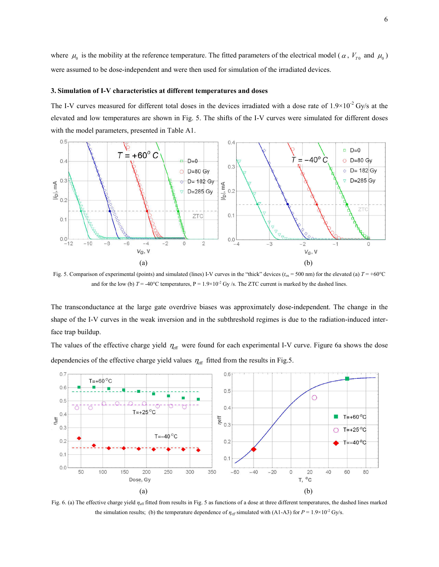where  $\mu_0$  is the mobility at the reference temperature. The fitted parameters of the electrical model ( $\alpha$ ,  $V_{T0}$  and  $\mu_0$ ) were assumed to be dose-independent and were then used for simulation of the irradiated devices.

#### 3. Simulation of I-V characteristics at different temperatures and doses

The I-V curves measured for different total doses in the devices irradiated with a dose rate of  $1.9\times10^{-2}$  Gy/s at the elevated and low temperatures are shown in Fig. 5. The shifts of the I-V curves were simulated for different doses with the model parameters, presented in Table A1.



Fig. 5. Comparison of experimental (points) and simulated (lines) I-V curves in the "thick" devices  $(t_{\alpha} = 500 \text{ nm})$  for the elevated (a)  $T = +60^{\circ}\text{C}$ and for the low (b)  $T = -40^{\circ}$ C temperatures,  $P = 1.9 \times 10^{-2}$  Gy/s. The ZTC current is marked by the dashed lines.

The transconductance at the large gate overdrive biases was approximately dose-independent. dependent. The change in the shape of the I-V curves in the weak inversion and in the subthreshold regimes is due to the radiation-induced interface trap buildup.

The values of the effective charge yield  $\eta_{\rm eff}$  were found for each experimental I-V curve. Figure 6a shows the dose dependencies of the effective charge yield values  $\eta_{\text{eff}}$  fitted from the results in Fig.5.



Fig. 6. (a) The effective charge yield *η*<sub>eff</sub> fitted from results in Fig. 5 as functions of a dose at three different temperatures, the dashed lines marked the simulation results; (b) the temperature dependence of  $\eta_{\text{eff}}$  simulated with (A1-A3) for  $P = 1.9 \times 10^{-2}$  Gy/s.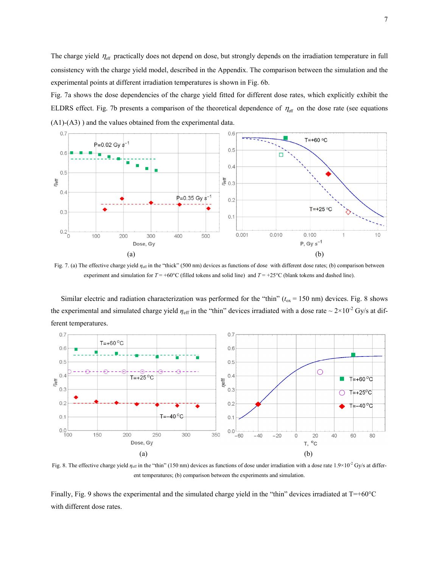The charge yield  $\eta_{\text{eff}}$  practically does not depend on dose, but strongly depends on the irradiation temperature in full consistency with the charge yield model, described in the Appendix. The comparison between the simulation and the experimental points at different irradiation temperatures is shown in Fig. 6b.

Fig. 7a shows the dose dependencies of the charge yield fitted for different dose rates, which explicitly exhibit the Fig. 7a shows the dose dependencies of the charge yield fitted for different dose rates, which explicitly exhibit the ELDRS effect. Fig. 7b presents a comparison of the theoretical dependence of  $\eta_{\text{eff}}$  on the dose rat (A1)-(A3) ) and the values obtained from the experimental data.



Fig. 7. (a) The effective charge yield *η<sub>eff</sub>* in the "thick" (500 nm) devices as functions of dose with different dose rates; (b) comparison between experiment and simulation for  $T = +60^{\circ}\text{C}$  (filled tokens and solid line) and  $T = +25^{\circ}\text{C}$  (blank tokens and dashed line).

Similar electric and radiation characterization was performed for the "thin"  $(t_{ox} = 150 \text{ nm})$  devices. Fig. 8 shows the experimental and simulated charge yield  $\eta_{\text{eff}}$  in the "thin" devices irradiated with a dose rate  $\sim 2 \times 10^{-2}$  Gy/s at different temperatures.



Fig. 8. The effective charge yield  $\eta_{\text{eff}}$  in the "thin" (150 nm) devices as functions of dose under irradiation with a dose rate  $1.9 \times 10^{-2}$  Gy/s at different temperatures; (b) comparison between the experiments and simulation.

Finally, Fig. 9 shows the experimental and the simulated charge yield in the "thin" devices irradiated at  $T=+60^{\circ}C$ with different dose rates.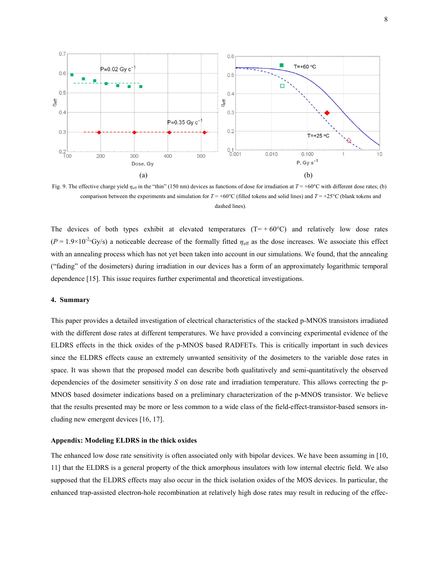

Fig. 9. The effective charge yield  $\eta_{\text{eff}}$  in the "thin" (150 nm) devices as functions of dose for irradiation at  $T = +60^{\circ}\text{C}$  with different dose rates; (b) comparison between the experiments and simulation for  $T = +60^{\circ}$ C (filled tokens and solid lines) and  $T = +25^{\circ}$ C (blank tokens and dashed lines).

The devices of both types exhibit at elevated temperatures  $(T= +60^{\circ}C)$  and relatively low dose rates  $(P = 1.9 \times 10^{-2} \text{°Gy/s})$  a noticeable decrease of the formally fitted  $\eta_{\text{eff}}$  as the dose increases. We associate this effect with an annealing process which has not yet been taken into account in our simulations. We found, that the annealing ("fading" of the dosimeters) during irradiation in our devices has a form of an approximately logarithmic temporal dependence [15]. This issue requires further experimental and theoretical investigations. fitted  $\eta_{\text{eff}}$  as the dose increases. We associate this effect<br>account in our simulations. We found, that the annealing<br>es has a form of an approximately logarithmic temporal<br>d theoretical investigations.<br>racteristics

# 4. Summary

This paper provides a detailed investigation of electrical characteristics of the stacked p p-MNOS transistors irradiated with the different dose rates at different temperatures. We have provided a convincing experimental evidence of the ELDRS effects in the thick oxides of the p-MNOS based RADFETs. This is critically important since the ELDRS effects cause an extremely unwanted sensitivity of the dosimeters to the variable dose rates in space. It was shown that the proposed model can describe both qualitatively and semi-quantitatively the observed dependencies of the dosimeter sensitivity S on dose rate and irradiation temperature. This allows correcting the p-MNOS based dosimeter indications based on a preliminary characterization of the p-MNOS transistor MNOS transistor. We believe that the results presented may be more or less common to a wide class of the field-effect-transistor-based sensors including new emergent devices [16, 17].

# Appendix: Modeling ELDRS in the thick oxides

cluding new emergent devices [16, 17].<br>Appendix: Modeling ELDRS in the thick oxides<br>The enhanced low dose rate sensitivity is often associated only with bipolar devices. We have been assuming in [10, 11] that the ELDRS is a general property of the thick amorphous insulators with low internal electric field. We also 11] that the ELDRS is a general property of the thick amorphous insulators with low internal electric field. We also<br>supposed that the ELDRS effects may also occur in the thick isolation oxides of the MOS devices. In parti enhanced trap-assisted electron-hole recombination at relatively high dose rates may result in reducing of the effec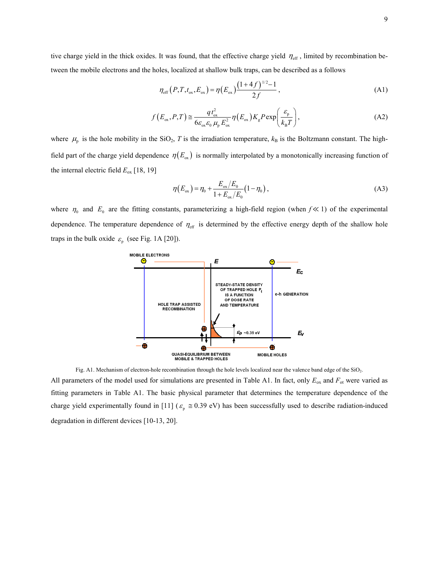tive charge yield in the thick oxides. It was found, that the effective charge yield  $\eta_{\text{eff}}$ , limited by recombination between the mobile electrons and the holes, localized at shallow bulk traps, can be described as a follows

$$
\eta_{\text{eff}}(P, T, t_{\text{ox}}, E_{\text{ox}}) = \eta(E_{\text{ox}}) \frac{(1+4f)^{1/2}-1}{2f}, \qquad (A1)
$$

$$
f(E_{\alpha x}, P, T) \approx \frac{q t_{\alpha x}^2}{6 \varepsilon_{\alpha x} \varepsilon_0 \mu_p E_{\alpha x}^2} \eta(E_{\alpha x}) K_{g} P \exp\left(\frac{\varepsilon_{p}}{k_{B} T}\right),
$$
(A2)

where  $\mu_{\rm p}$  is the hole mobility in the SiO<sub>2</sub>, *T* is the irradiation temperature,  $k_{\rm B}$  is the Boltzmann constant. The highfield part of the charge yield dependence  $\eta(E_{\alpha})$  is normally interpolated by a monotonically increasing function of the internal electric field  $E_{ox}$  [18, 19]

$$
\eta(E_{\text{ox}}) = \eta_0 + \frac{E_{\text{ox}}/E_0}{1 + E_{\text{ox}}/E_0} (1 - \eta_0),
$$
\n(A3)

where  $\eta_0$  and  $E_0$  are the fitting constants, parameterizing a high-field region (when  $f \ll 1$ ) of the experimental dependence. The temperature dependence of  $\eta_{\text{eff}}$  is determined by the effective energy depth of the shallow hole traps in the bulk oxide  $\varepsilon_p$  (see Fig. 1A [20]).



Fig. A1. Mechanism of electron-hole recombination through the hole levels localized near the valence band edge of the SiO2. All parameters of the model used for simulations are presented in Table A1. In fact, only  $E_{ox}$  and  $F_{ot}$  were varied as fitting parameters in Table A1. The basic physical parameter that determines the temperature dependence of the charge yield experimentally found in [11] ( $\varepsilon_p \approx 0.39$  eV) has been successfully used to describe radiation-induced degradation in different devices [10-13, 20].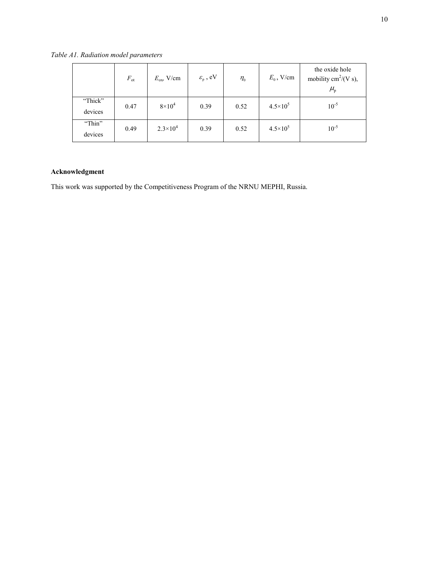*Table A1. Radiation model parameters*

|                    | $F_{\text{ot}}$ | $E_{\rm ox}$ V/cm   | $\varepsilon_{\text{\tiny p}}$ , eV | $\eta_{0}$ | $E_0$ , V/cm        | the oxide hole<br>mobility cm <sup>2</sup> /(V s),<br>$\mu_{\rm p}$ |
|--------------------|-----------------|---------------------|-------------------------------------|------------|---------------------|---------------------------------------------------------------------|
| "Thick"<br>devices | 0.47            | $8\times10^4$       | 0.39                                | 0.52       | $4.5 \times 10^{5}$ | $10^{-5}$                                                           |
| "Thin"<br>devices  | 0.49            | $2.3 \times 10^{4}$ | 0.39                                | 0.52       | $4.5 \times 10^{5}$ | $10^{-5}$                                                           |

# Acknowledgment

This work was supported by the Competitiveness Program of the NRNU MEPHI, Russia.